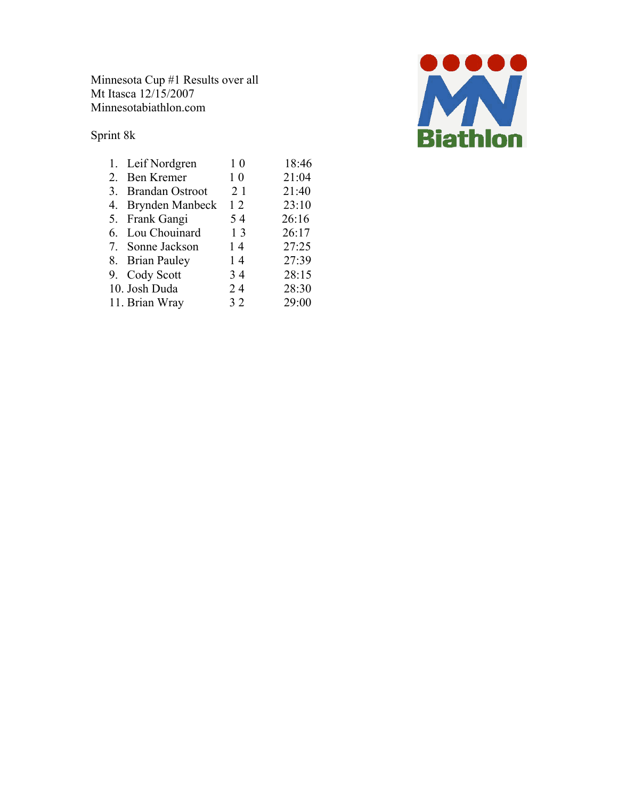Minnesota Cup #1 Results over all Mt Itasca 12/15/2007 Minnesotabiathlon.com

Sprint 8k

| 1. Leif Nordgren   | 1 <sub>0</sub> | 18:46 |
|--------------------|----------------|-------|
| 2. Ben Kremer      | 1 <sub>0</sub> | 21:04 |
| 3. Brandan Ostroot | 21             | 21:40 |
| 4. Brynden Manbeck | 12             | 23:10 |
| 5. Frank Gangi     | 54             | 26:16 |
| 6. Lou Chouinard   | 13             | 26:17 |
| 7. Sonne Jackson   | 14             | 27:25 |
| 8. Brian Pauley    | 14             | 27:39 |
| 9. Cody Scott      | 34             | 28:15 |
| 10. Josh Duda      | 24             | 28:30 |
| 11. Brian Wray     | 32             | 29:00 |